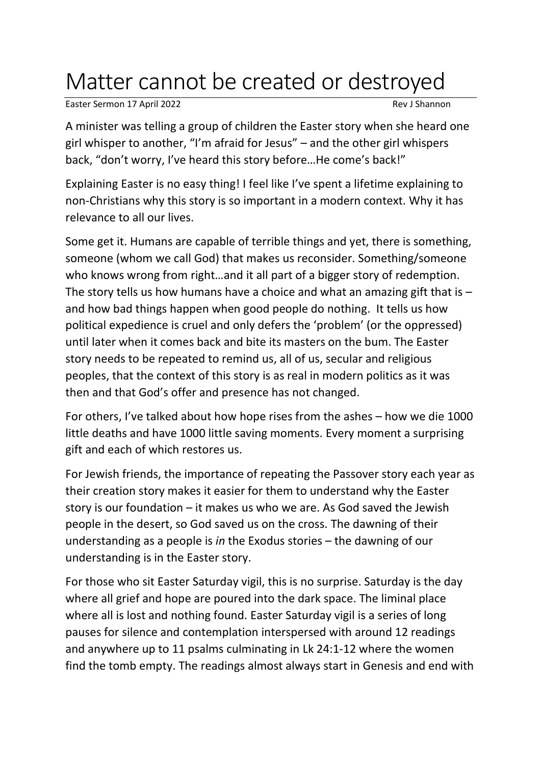## Matter cannot be created or destroyed

Easter Sermon 17 April 2022 **Rev J Shannon** 

A minister was telling a group of children the Easter story when she heard one girl whisper to another, "I'm afraid for Jesus" – and the other girl whispers back, "don't worry, I've heard this story before…He come's back!"

Explaining Easter is no easy thing! I feel like I've spent a lifetime explaining to non-Christians why this story is so important in a modern context. Why it has relevance to all our lives.

Some get it. Humans are capable of terrible things and yet, there is something, someone (whom we call God) that makes us reconsider. Something/someone who knows wrong from right…and it all part of a bigger story of redemption. The story tells us how humans have a choice and what an amazing gift that is  $$ and how bad things happen when good people do nothing. It tells us how political expedience is cruel and only defers the 'problem' (or the oppressed) until later when it comes back and bite its masters on the bum. The Easter story needs to be repeated to remind us, all of us, secular and religious peoples, that the context of this story is as real in modern politics as it was then and that God's offer and presence has not changed.

For others, I've talked about how hope rises from the ashes – how we die 1000 little deaths and have 1000 little saving moments. Every moment a surprising gift and each of which restores us.

For Jewish friends, the importance of repeating the Passover story each year as their creation story makes it easier for them to understand why the Easter story is our foundation – it makes us who we are. As God saved the Jewish people in the desert, so God saved us on the cross. The dawning of their understanding as a people is *in* the Exodus stories – the dawning of our understanding is in the Easter story.

For those who sit Easter Saturday vigil, this is no surprise. Saturday is the day where all grief and hope are poured into the dark space. The liminal place where all is lost and nothing found. Easter Saturday vigil is a series of long pauses for silence and contemplation interspersed with around 12 readings and anywhere up to 11 psalms culminating in Lk 24:1-12 where the women find the tomb empty. The readings almost always start in Genesis and end with